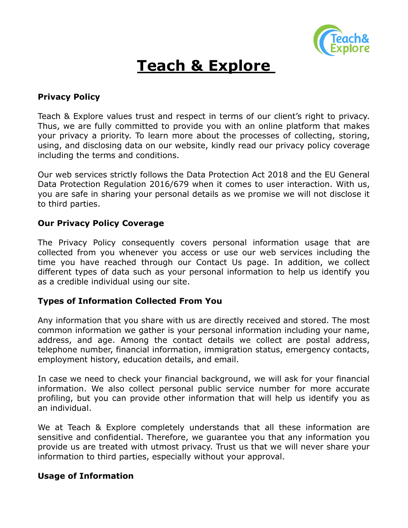

# **Teach & Explore**

## **Privacy Policy**

Teach & Explore values trust and respect in terms of our client's right to privacy. Thus, we are fully committed to provide you with an online platform that makes your privacy a priority. To learn more about the processes of collecting, storing, using, and disclosing data on our website, kindly read our privacy policy coverage including the terms and conditions.

Our web services strictly follows the Data Protection Act 2018 and the EU General Data Protection Regulation 2016/679 when it comes to user interaction. With us, you are safe in sharing your personal details as we promise we will not disclose it to third parties.

## **Our Privacy Policy Coverage**

The Privacy Policy consequently covers personal information usage that are collected from you whenever you access or use our web services including the time you have reached through our Contact Us page. In addition, we collect different types of data such as your personal information to help us identify you as a credible individual using our site.

## **Types of Information Collected From You**

Any information that you share with us are directly received and stored. The most common information we gather is your personal information including your name, address, and age. Among the contact details we collect are postal address, telephone number, financial information, immigration status, emergency contacts, employment history, education details, and email.

In case we need to check your financial background, we will ask for your financial information. We also collect personal public service number for more accurate profiling, but you can provide other information that will help us identify you as an individual.

We at Teach & Explore completely understands that all these information are sensitive and confidential. Therefore, we guarantee you that any information you provide us are treated with utmost privacy. Trust us that we will never share your information to third parties, especially without your approval.

## **Usage of Information**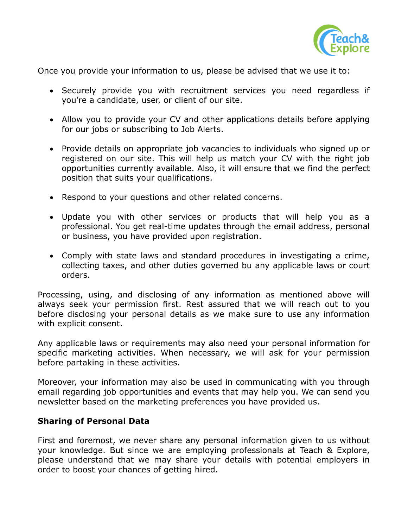

Once you provide your information to us, please be advised that we use it to:

- Securely provide you with recruitment services you need regardless if you're a candidate, user, or client of our site.
- Allow you to provide your CV and other applications details before applying for our jobs or subscribing to Job Alerts.
- Provide details on appropriate job vacancies to individuals who signed up or registered on our site. This will help us match your CV with the right job opportunities currently available. Also, it will ensure that we find the perfect position that suits your qualifications.
- Respond to your questions and other related concerns.
- Update you with other services or products that will help you as a professional. You get real-time updates through the email address, personal or business, you have provided upon registration.
- Comply with state laws and standard procedures in investigating a crime, collecting taxes, and other duties governed bu any applicable laws or court orders.

Processing, using, and disclosing of any information as mentioned above will always seek your permission first. Rest assured that we will reach out to you before disclosing your personal details as we make sure to use any information with explicit consent.

Any applicable laws or requirements may also need your personal information for specific marketing activities. When necessary, we will ask for your permission before partaking in these activities.

Moreover, your information may also be used in communicating with you through email regarding job opportunities and events that may help you. We can send you newsletter based on the marketing preferences you have provided us.

## **Sharing of Personal Data**

First and foremost, we never share any personal information given to us without your knowledge. But since we are employing professionals at Teach & Explore, please understand that we may share your details with potential employers in order to boost your chances of getting hired.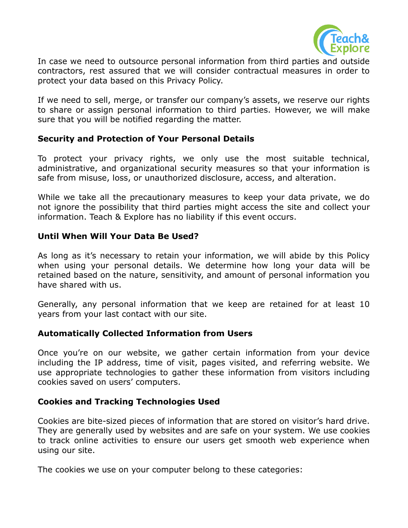

In case we need to outsource personal information from third parties and outside contractors, rest assured that we will consider contractual measures in order to protect your data based on this Privacy Policy.

If we need to sell, merge, or transfer our company's assets, we reserve our rights to share or assign personal information to third parties. However, we will make sure that you will be notified regarding the matter.

## **Security and Protection of Your Personal Details**

To protect your privacy rights, we only use the most suitable technical, administrative, and organizational security measures so that your information is safe from misuse, loss, or unauthorized disclosure, access, and alteration.

While we take all the precautionary measures to keep your data private, we do not ignore the possibility that third parties might access the site and collect your information. Teach & Explore has no liability if this event occurs.

### **Until When Will Your Data Be Used?**

As long as it's necessary to retain your information, we will abide by this Policy when using your personal details. We determine how long your data will be retained based on the nature, sensitivity, and amount of personal information you have shared with us.

Generally, any personal information that we keep are retained for at least 10 years from your last contact with our site.

## **Automatically Collected Information from Users**

Once you're on our website, we gather certain information from your device including the IP address, time of visit, pages visited, and referring website. We use appropriate technologies to gather these information from visitors including cookies saved on users' computers.

## **Cookies and Tracking Technologies Used**

Cookies are bite-sized pieces of information that are stored on visitor's hard drive. They are generally used by websites and are safe on your system. We use cookies to track online activities to ensure our users get smooth web experience when using our site.

The cookies we use on your computer belong to these categories: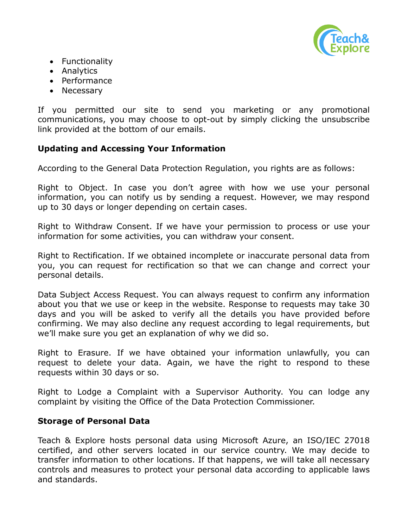

- Functionality
- Analytics
- Performance
- Necessary

If you permitted our site to send you marketing or any promotional communications, you may choose to opt-out by simply clicking the unsubscribe link provided at the bottom of our emails.

## **Updating and Accessing Your Information**

According to the General Data Protection Regulation, you rights are as follows:

Right to Object. In case you don't agree with how we use your personal information, you can notify us by sending a request. However, we may respond up to 30 days or longer depending on certain cases.

Right to Withdraw Consent. If we have your permission to process or use your information for some activities, you can withdraw your consent.

Right to Rectification. If we obtained incomplete or inaccurate personal data from you, you can request for rectification so that we can change and correct your personal details.

Data Subject Access Request. You can always request to confirm any information about you that we use or keep in the website. Response to requests may take 30 days and you will be asked to verify all the details you have provided before confirming. We may also decline any request according to legal requirements, but we'll make sure you get an explanation of why we did so.

Right to Erasure. If we have obtained your information unlawfully, you can request to delete your data. Again, we have the right to respond to these requests within 30 days or so.

Right to Lodge a Complaint with a Supervisor Authority. You can lodge any complaint by visiting the Office of the Data Protection Commissioner.

#### **Storage of Personal Data**

Teach & Explore hosts personal data using Microsoft Azure, an ISO/IEC 27018 certified, and other servers located in our service country. We may decide to transfer information to other locations. If that happens, we will take all necessary controls and measures to protect your personal data according to applicable laws and standards.